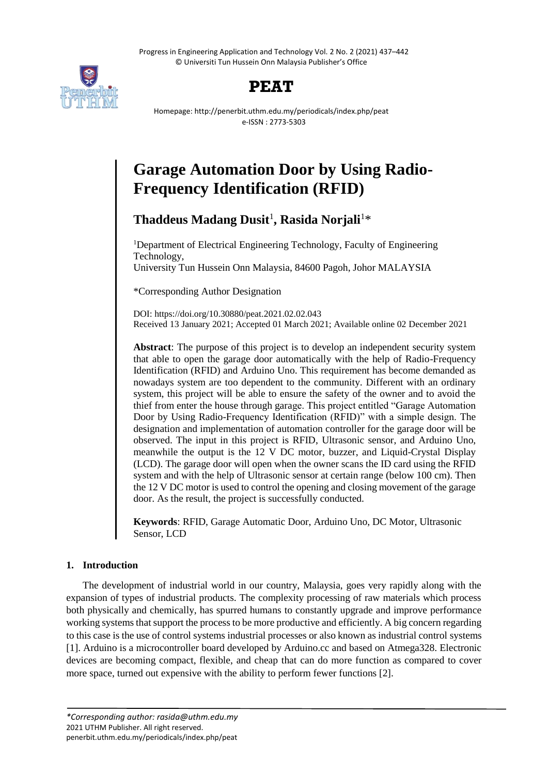Progress in Engineering Application and Technology Vol. 2 No. 2 (2021) 437–442 © Universiti Tun Hussein Onn Malaysia Publisher's Office



# **PEAT**

Homepage: http://penerbit.uthm.edu.my/periodicals/index.php/peat e-ISSN : 2773-5303

# **Garage Automation Door by Using Radio-Frequency Identification (RFID)**

**Thaddeus Madang Dusit**<sup>1</sup> **, Rasida Norjali**<sup>1</sup>\*

<sup>1</sup>Department of Electrical Engineering Technology, Faculty of Engineering Technology, University Tun Hussein Onn Malaysia, 84600 Pagoh, Johor MALAYSIA

\*Corresponding Author Designation

DOI: https://doi.org/10.30880/peat.2021.02.02.043 Received 13 January 2021; Accepted 01 March 2021; Available online 02 December 2021

**Abstract**: The purpose of this project is to develop an independent security system that able to open the garage door automatically with the help of Radio-Frequency Identification (RFID) and Arduino Uno. This requirement has become demanded as nowadays system are too dependent to the community. Different with an ordinary system, this project will be able to ensure the safety of the owner and to avoid the thief from enter the house through garage. This project entitled "Garage Automation Door by Using Radio-Frequency Identification (RFID)" with a simple design. The designation and implementation of automation controller for the garage door will be observed. The input in this project is RFID, Ultrasonic sensor, and Arduino Uno, meanwhile the output is the 12 V DC motor, buzzer, and Liquid-Crystal Display (LCD). The garage door will open when the owner scans the ID card using the RFID system and with the help of Ultrasonic sensor at certain range (below 100 cm). Then the 12 V DC motor is used to control the opening and closing movement of the garage door. As the result, the project is successfully conducted.

**Keywords**: RFID, Garage Automatic Door, Arduino Uno, DC Motor, Ultrasonic Sensor, LCD

# **1. Introduction**

The development of industrial world in our country, Malaysia, goes very rapidly along with the expansion of types of industrial products. The complexity processing of raw materials which process both physically and chemically, has spurred humans to constantly upgrade and improve performance working systems that support the process to be more productive and efficiently. A big concern regarding to this case is the use of control systems industrial processes or also known as industrial control systems [1]. Arduino is a microcontroller board developed by Arduino.cc and based on Atmega328. Electronic devices are becoming compact, flexible, and cheap that can do more function as compared to cover more space, turned out expensive with the ability to perform fewer functions [2].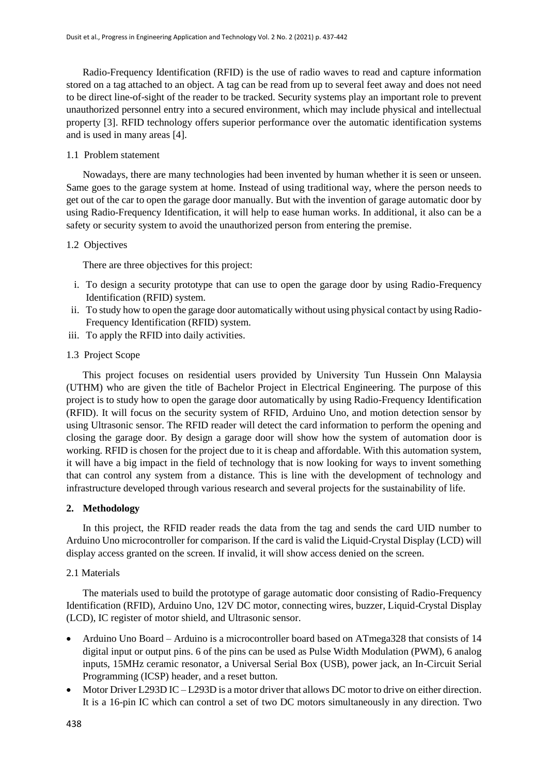Radio-Frequency Identification (RFID) is the use of radio waves to read and capture information stored on a tag attached to an object. A tag can be read from up to several feet away and does not need to be direct line-of-sight of the reader to be tracked. Security systems play an important role to prevent unauthorized personnel entry into a secured environment, which may include physical and intellectual property [3]. RFID technology offers superior performance over the automatic identification systems and is used in many areas [4].

### 1.1 Problem statement

Nowadays, there are many technologies had been invented by human whether it is seen or unseen. Same goes to the garage system at home. Instead of using traditional way, where the person needs to get out of the car to open the garage door manually. But with the invention of garage automatic door by using Radio-Frequency Identification, it will help to ease human works. In additional, it also can be a safety or security system to avoid the unauthorized person from entering the premise.

#### 1.2 Objectives

There are three objectives for this project:

- i. To design a security prototype that can use to open the garage door by using Radio-Frequency Identification (RFID) system.
- ii. To study how to open the garage door automatically without using physical contact by using Radio-Frequency Identification (RFID) system.
- iii. To apply the RFID into daily activities.
- 1.3 Project Scope

This project focuses on residential users provided by University Tun Hussein Onn Malaysia (UTHM) who are given the title of Bachelor Project in Electrical Engineering. The purpose of this project is to study how to open the garage door automatically by using Radio-Frequency Identification (RFID). It will focus on the security system of RFID, Arduino Uno, and motion detection sensor by using Ultrasonic sensor. The RFID reader will detect the card information to perform the opening and closing the garage door. By design a garage door will show how the system of automation door is working. RFID is chosen for the project due to it is cheap and affordable. With this automation system, it will have a big impact in the field of technology that is now looking for ways to invent something that can control any system from a distance. This is line with the development of technology and infrastructure developed through various research and several projects for the sustainability of life.

# **2. Methodology**

In this project, the RFID reader reads the data from the tag and sends the card UID number to Arduino Uno microcontroller for comparison. If the card is valid the Liquid-Crystal Display (LCD) will display access granted on the screen. If invalid, it will show access denied on the screen.

#### 2.1 Materials

The materials used to build the prototype of garage automatic door consisting of Radio-Frequency Identification (RFID), Arduino Uno, 12V DC motor, connecting wires, buzzer, Liquid-Crystal Display (LCD), IC register of motor shield, and Ultrasonic sensor.

- Arduino Uno Board Arduino is a microcontroller board based on ATmega328 that consists of 14 digital input or output pins. 6 of the pins can be used as Pulse Width Modulation (PWM), 6 analog inputs, 15MHz ceramic resonator, a Universal Serial Box (USB), power jack, an In-Circuit Serial Programming (ICSP) header, and a reset button.
- Motor Driver L293D IC L293D is a motor driver that allows DC motor to drive on either direction. It is a 16-pin IC which can control a set of two DC motors simultaneously in any direction. Two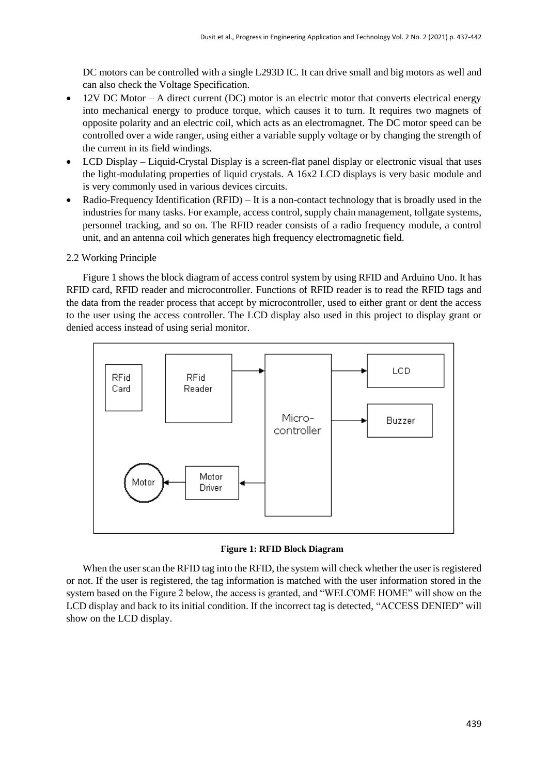DC motors can be controlled with a single L293D IC. It can drive small and big motors as well and can also check the Voltage Specification.

- 12V DC Motor A direct current (DC) motor is an electric motor that converts electrical energy into mechanical energy to produce torque, which causes it to turn. It requires two magnets of opposite polarity and an electric coil, which acts as an electromagnet. The DC motor speed can be controlled over a wide ranger, using either a variable supply voltage or by changing the strength of the current in its field windings.
- LCD Display Liquid-Crystal Display is a screen-flat panel display or electronic visual that uses the light-modulating properties of liquid crystals. A 16x2 LCD displays is very basic module and is very commonly used in various devices circuits.
- Radio-Frequency Identification (RFID) It is a non-contact technology that is broadly used in the industries for many tasks. For example, access control, supply chain management, tollgate systems, personnel tracking, and so on. The RFID reader consists of a radio frequency module, a control unit, and an antenna coil which generates high frequency electromagnetic field.
- 2.2 Working Principle

Figure 1 shows the block diagram of access control system by using RFID and Arduino Uno. It has RFID card, RFID reader and microcontroller. Functions of RFID reader is to read the RFID tags and the data from the reader process that accept by microcontroller, used to either grant or dent the access to the user using the access controller. The LCD display also used in this project to display grant or denied access instead of using serial monitor.



**Figure 1: RFID Block Diagram**

When the user scan the RFID tag into the RFID, the system will check whether the user is registered or not. If the user is registered, the tag information is matched with the user information stored in the system based on the Figure 2 below, the access is granted, and "WELCOME HOME" will show on the LCD display and back to its initial condition. If the incorrect tag is detected, "ACCESS DENIED" will show on the LCD display.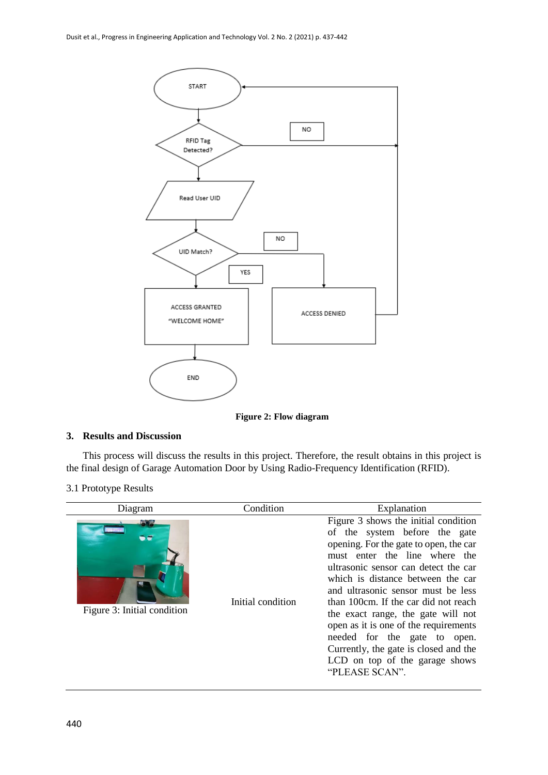

**Figure 2: Flow diagram**

# **3. Results and Discussion**

This process will discuss the results in this project. Therefore, the result obtains in this project is the final design of Garage Automation Door by Using Radio-Frequency Identification (RFID).

3.1 Prototype Results

| Diagram                            | Condition         | Explanation                                                                                                                                                                                                                                                                                                                                                                                                                                                                                                             |  |
|------------------------------------|-------------------|-------------------------------------------------------------------------------------------------------------------------------------------------------------------------------------------------------------------------------------------------------------------------------------------------------------------------------------------------------------------------------------------------------------------------------------------------------------------------------------------------------------------------|--|
| - -<br>Figure 3: Initial condition | Initial condition | Figure 3 shows the initial condition<br>of the system before the gate<br>opening. For the gate to open, the car<br>must enter the line where the<br>ultrasonic sensor can detect the car<br>which is distance between the car<br>and ultrasonic sensor must be less<br>than 100cm. If the car did not reach<br>the exact range, the gate will not<br>open as it is one of the requirements<br>needed for the gate to open.<br>Currently, the gate is closed and the<br>LCD on top of the garage shows<br>"PLEASE SCAN". |  |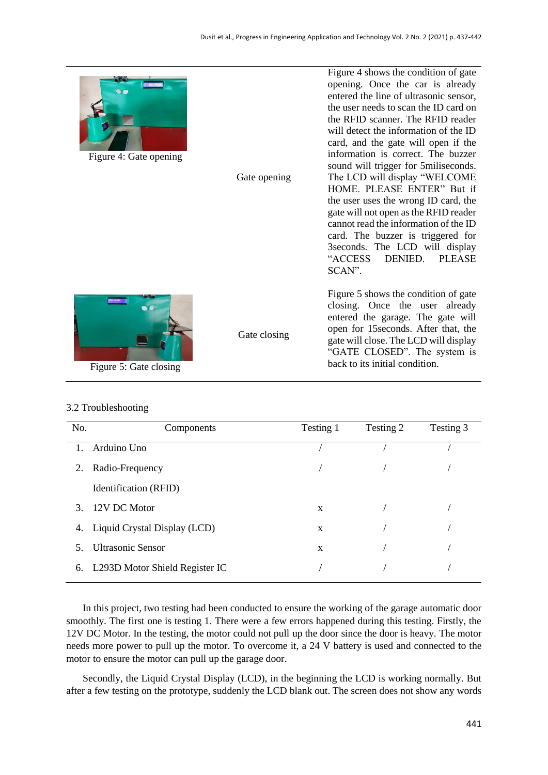SCAN".

Figure 4 shows the condition of gate opening. Once the car is already entered the line of ultrasonic sensor, the user needs to scan the ID card on the RFID scanner. The RFID reader will detect the information of the ID card, and the gate will open if the information is correct. The buzzer sound will trigger for 5miliseconds. The LCD will display "WELCOME HOME. PLEASE ENTER" But if the user uses the wrong ID card, the gate will not open as the RFID reader cannot read the information of the ID card. The buzzer is triggered for 3seconds. The LCD will display "ACCESS DENIED. PLEASE

Figure 5 shows the condition of gate closing. Once the user already entered the garage. The gate will open for 15seconds. After that, the gate will close. The LCD will display "GATE CLOSED". The system is

back to its initial condition.

Figure 4: Gate opening

| Gate opening |
|--------------|
|              |

Gate closing



Figure 5: Gate closing

# 3.2 Troubleshooting

| No. | Components                     | Testing 1 | Testing 2 | Testing 3 |
|-----|--------------------------------|-----------|-----------|-----------|
| 1.  | Arduino Uno                    |           |           |           |
| 2.  | Radio-Frequency                |           |           |           |
|     | Identification (RFID)          |           |           |           |
| 3.  | 12V DC Motor                   | X         |           |           |
| 4.  | Liquid Crystal Display (LCD)   | X         |           |           |
| 5.  | <b>Ultrasonic Sensor</b>       | X         |           |           |
| 6.  | L293D Motor Shield Register IC |           |           |           |

In this project, two testing had been conducted to ensure the working of the garage automatic door smoothly. The first one is testing 1. There were a few errors happened during this testing. Firstly, the 12V DC Motor. In the testing, the motor could not pull up the door since the door is heavy. The motor needs more power to pull up the motor. To overcome it, a 24 V battery is used and connected to the motor to ensure the motor can pull up the garage door.

Secondly, the Liquid Crystal Display (LCD), in the beginning the LCD is working normally. But after a few testing on the prototype, suddenly the LCD blank out. The screen does not show any words